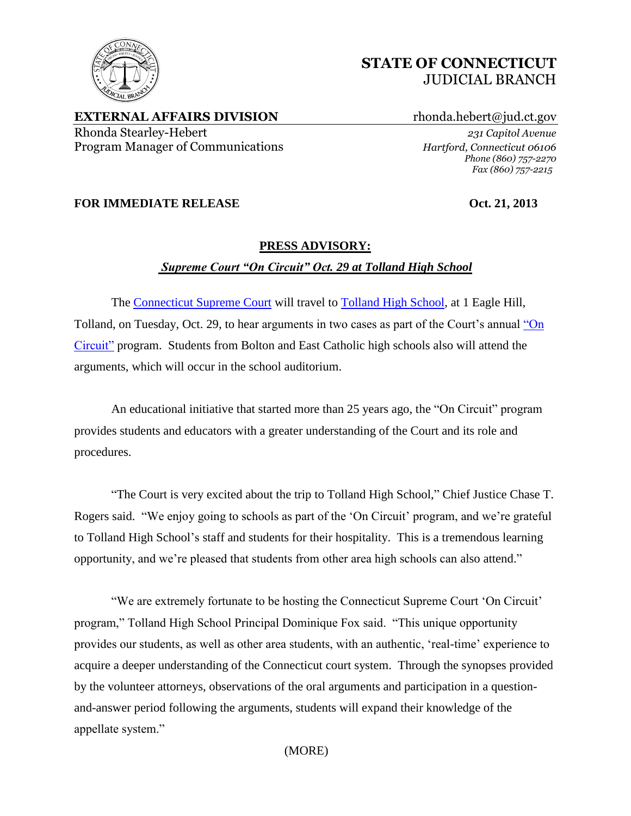

**EXTERNAL AFFAIRS DIVISION** rhonda.hebert@jud.ct.gov Rhonda Stearley-Hebert *231 Capitol Avenue* Program Manager of Communications *Hartford, Connecticut 06106*

*Phone (860) 757-2270 Fax (860) 757-2215*

## **FOR IMMEDIATE RELEASE Oct. 21, 2013**

## **PRESS ADVISORY:** *Supreme Court "On Circuit" Oct. 29 at Tolland High School*

The [Connecticut Supreme Court](http://www.jud.ct.gov/external/supapp/default.htm) will travel to [Tolland High School,](http://www.ths.tolland.k12.ct.us/) at 1 Eagle Hill, Tolland, on Tuesday, Oct. 29, to hear arguments in two cases as part of the Court's annual ["On](http://www.jud.ct.gov/external/supapp/Circuit/default.htm)  [Circuit"](http://www.jud.ct.gov/external/supapp/Circuit/default.htm) program. Students from Bolton and East Catholic high schools also will attend the arguments, which will occur in the school auditorium.

An educational initiative that started more than 25 years ago, the "On Circuit" program provides students and educators with a greater understanding of the Court and its role and procedures.

"The Court is very excited about the trip to Tolland High School," Chief Justice Chase T. Rogers said. "We enjoy going to schools as part of the 'On Circuit' program, and we're grateful to Tolland High School's staff and students for their hospitality. This is a tremendous learning opportunity, and we're pleased that students from other area high schools can also attend."

"We are extremely fortunate to be hosting the Connecticut Supreme Court 'On Circuit' program," Tolland High School Principal Dominique Fox said. "This unique opportunity provides our students, as well as other area students, with an authentic, 'real-time' experience to acquire a deeper understanding of the Connecticut court system. Through the synopses provided by the volunteer attorneys, observations of the oral arguments and participation in a questionand-answer period following the arguments, students will expand their knowledge of the appellate system."

(MORE)